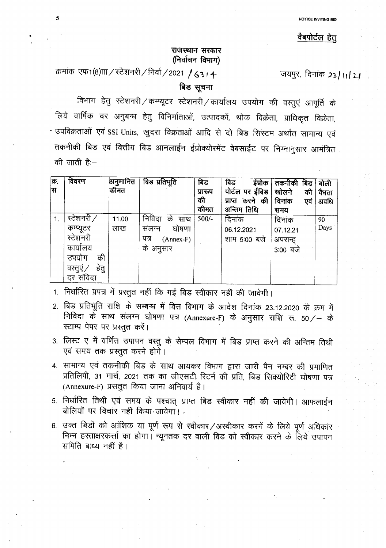#### वैबपोर्टल हेत्

### **~ tNCf)I,< (PJqf:q'1 fcMTlr)**

क्रमांक एफ1(8) $m$ / स्टेशनरी/निर्वा/2021 /63। 4-

जयपुर, दिनांक 23/11/24

### बिड सूचना

विभाग हेतु स्टेशनरी / कम्प्यूटर स्टेशनरी / कार्यालय उपयोग की वस्तुएं आपूर्ति के लिये वार्षिक दर अनुबन्ध हेतु विनिर्माताओं, उत्पादकों, थोक विक्रेता, प्राधिकृत विक्रेता, . उपविक्रताओं एवं SSI Units, खुदरा विक्रताओं आदि से 'दो बिड सिस्टम अर्थात सामान्य एवं तकनीकी बिड एवं वित्तीय बिड आनलाईन ईप्रोक्योरमेंट वेबसाईट पर निम्नानुसार आमंत्रित की जाती है:--

| क्र.<br>सि | विवरण                                                                                          | अनुमानित<br>कीमत | बिड प्रतिभूति                                                               | बिड<br>प्रारूप<br>की<br>कीमत | बिड<br>इंप्रोक<br>पोर्टल पर ईबिड<br>करने की<br>प्राप्त<br>अन्तिम तिथि | तकनीकी<br>बिड<br>खोलने<br>की<br>दिनांक<br>एवं<br>समय | बोली<br>वैधता<br>अवधि |
|------------|------------------------------------------------------------------------------------------------|------------------|-----------------------------------------------------------------------------|------------------------------|-----------------------------------------------------------------------|------------------------------------------------------|-----------------------|
|            | स्टेशनरी/<br>कम्प्यूटर<br>स्टेशनरी<br>कार्यालय<br>उपयोग<br>की<br>हेतु<br>वस्तुए ⁄<br>दर संविदा | 11.00<br>लाख     | निविदा<br>क<br>साथ<br>घोषणा<br>संलग्न<br>पत्र<br>$(Annex-F)$ .<br>के अनुसार | $500/-$                      | दिनांक<br>06.12.2021<br>शाम 5:00 बजे                                  | दिनांक<br>07.12.21<br>अपरान्ह<br>3:00 बजे            | 90<br>Days            |

1. निर्धारित प्रपत्र में प्रस्तुत नहीं कि गई बिड स्वीकार नहीं की जावेगी।

2. बिड प्रतिभूति राशि के सम्बन्ध में वित्त विभाग के आदेश दिनांक 23.12.2020 के क्रम में निविदा के साथ संलग्न घोषणा पत्र (Annexure-F) के अनुसार राशि रू. 50/- के स्टाम्प पेपर पर प्रस्तुत करें।

3. लिस्ट ए में वर्णित उपापन वस्तु के सेम्पल विभाग में बिड प्राप्त करने की अन्तिम तिथी एवं समय तक प्रस्तुत करने होगे।

4. सामान्य एवं तकनीकी बिड के साथ आयकर विभाग द्वारा जारी पैन नम्बर की प्रमाणित प्रतिलिपी, 31 मार्च, 2021 तक का जीएसटी रिटर्न की प्रति, बिड सिक्योरिटी घोषणा पत्र (Annexure-F) प्रसतुत किया जाना अनिवार्य है।

5. निर्धारित तिथी एवं समय के पश्चात् प्राप्त बिड स्वीकार नहीं की जावेगी। आफलाईन बोलियों पर विचार नहीं किया जावेगा।

6. उक्त बिड़ों को आंशिक या पूर्ण रूप से स्वीकार/अस्वीकार करनें के लिये पूर्ण अधिकार निम्न हस्ताक्षरकर्त्ता का होगा। न्यूनतक दर वाली बिड को स्वीकार करने के लिये उपापन समिति बाध्य नहीं है।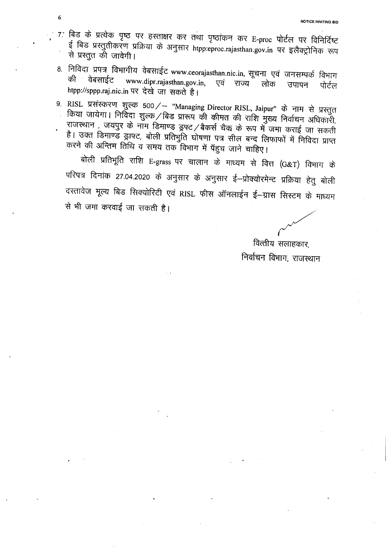7. बिड के प्रत्येक पृष्ठ पर हस्ताक्षर कर तथा पृष्ठांकन कर E-proc पोर्टल पर विनिर्दिष्ट ई बिड प्रस्तुतीकरण प्रक्रिया के अनुसार htpp:eproc.rajasthan.gov.in पर इलैक्ट्रोनिक रूप से प्रस्तुत की जावेगी।

6

- 8. निविदा प्रपत्र विभागीय वेबसाईट www.ceorajasthan.nic.in, सूचना एवं जनसम्पर्क विभाग की वेबसाईट www.dipr.rajasthan.gov.in, एवं राज्य लोक उपापन पोर्टल htpp://sppp.raj.nic.in पर देखे जा सकते है।
- 9. RISL प्रसंस्करण शुल्क 500/- "Managing Director RISL, Jaipur" के नाम से प्रस्तुत किया जायेगा। निर्विदा शुल्क / बिड प्रारूप की कीमत की राशि मुख्य निर्वाचन अधिकारी, राजस्थान, जयपुर के नॉम डिमाण्ड ड्रफ्ट/बैकर्स चैक के रूप में जमा कराई जा सकती है। उक्त डिमाण्ड ड्राफ्ट, बोली प्रतिभुति घोषणा पत्र सील बन्द लिफाफों में निविदा प्राप्त करने की अन्तिम तिथि व समय तक विभाग में पॅहुच जाने चाहिए।

बोली प्रतिभूति राशि E-grass पर चालान के माध्यम से वित्त (G&T) विभाग के परिपत्र दिनांक 27.04.2020 के अनुसार के अनुसार ई—प्रोक्योरमेन्ट प्रक्रिया हेतु बोली दस्तावेज मूल्य बिड सिक्योरिटी एवं RISL फीस ऑनलाईन ई-ग्रास सिस्टम के माध्यम से भी जमा करवाई जा सकती है।

वित्तीय सलाहकार, निर्वाचन विभाग, राजस्थान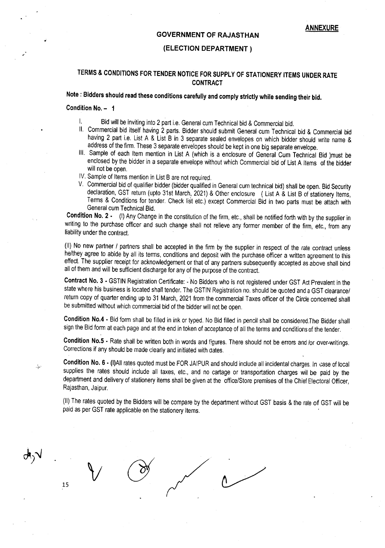#### **GOVERNMENT OF RAJASTHAN**

#### **(ELECTION DEPARTMENT)**

### **TERMS & CONDITIONS FOR TENDER NOTICE FOR SUPPLY OF STATIONERY ITEMS UNDER RATE CONTRACT**

## **Note: Bidders should read these conditions carefully and comply strictly while sending their bid.**

#### **Condition No. - 1**

 $\Lambda_{\nu}$ 

- I. Bid will be inviting into 2 part i.e. General cum Technical bid & Commercial bid.
- II. Commercial bid itself having 2 parts. Bidder should submit General cum Technical bid & Commercial bid having 2 part i.e. List A & List B in 3 separate sealed envelopes on which bidder should write name & address of the firm. These 3 separate envelopes should be kept in one big separate envelope.
- III. Sample of each Item mention in List A (which is a enclosure of General Cum Technical Bid )must be enclosed by the bidder in a separate envelope without which Commercial bid of List A Items of the bidder will not be open.
- IV. Sample of Items mention in List B are not required.
- V. Commercial bid of qualifier bidder (bidder qualified in General cum technical bid) shall be open. Bid Security declaration, GST return (upto 31st March, 2021) & Other enclosure (List A & List B of stationery Items, Terms & Conditions for tender. Check list etc.) except Commercial Bid in two parts must be attach with General cum Technical Bid.

**Condition NO.2·** (I) Any Change in the constitution of the firm, etc., shall be notified forth with by the supplier in writing to the purchase officer and such change shall not relieve any former member of the firm, etc., from any liability under the contract.

(II) No new partner / partners shall be accepted in the firm by the supplier in respect of the rate contract unless helthey agree to abide by all its terms, conditions and deposit with the purchase *officer* a written agreement to this *effect.* The supplier receipt for acknowledgement or that of any partners subsequently accepted as above shall bind all of them and will be sufficient discharge for any of the purpose of the contract.

**Contract No.3·** GSTIN Registration Certificate: - No Bidders who is not registered under GST Act Prevalent in the state where his business is located shall tender. The GSTIN Registration no. should be quoted and a GST clearance/ return copy of quarter ending up to 31 March, 2021 from the commercial Taxes officer of the Circle concerned shall be submitted without which commercial bid of the bidder will not be open.

**Condition No.4·** Bid form shall be filled in ink or typed. No Bid filled in pencil shall be considered.The Bidder shall sign the Bid form at each page and at the end in token of acceptance of all the terms and conditions of the tender.

**Condition No.5·** Rate shall be written both in words and figures. There should not be errors and lor over-writings. Corrections if any should be made clearly and initiated with dates.

**Condition No.6·** (I)AII rates quoted must be FOR JAIPUR and should include all incidental charges. In case of local supplies the rates should include all taxes, etc., and no cartage or transportation charges will be paid by the department and delivery of stationery items shall be given at the *office/Store* premises of the Chief E!ectoral *Officer,* Rajasthan, Jaipur.

(II) The rates quoted by the Bidders will be compare by the department without GST basis & the rateof GST will be paid as per GST rate applicable em the stationery Items. .

15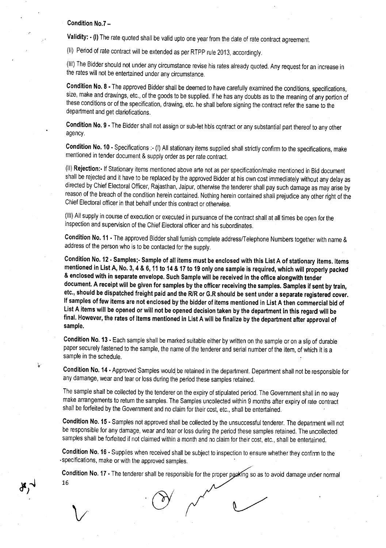#### Condition No.7-

Validity:  $\cdot$  (I) The rate quoted shall be valid upto one year from the date of rate contract agreement.

(II) Period of rate contract will be extended as per RTPP rule 2013, accordingly.

(III) The Bidder should not under any circumstance revise his rates already quoted. Any request for an increase in the rates will not be entertained under any circumstance.

Condition No.8· The approved Bidder shall be deemed to have carefully examined the conditions, specifications, size, make and drawings, etc., of the goods to be supplied. If he has any doubts as to the meaning of any portion of these conditions or of the specification, drawing, etc. he shall before signing the contract refer the same to the department and get clariofications.

Condition No. 9 - The Bidder shall not assign or sub-let hbis contract or any substantial part thereof to any other agency.

Condition No. 10· Specifications :- (I) All stationary items supplied shall strictly confirm to the specifications, make mentioned in tender document & supply order as per rate contract.

(II) Rejection: If Stationary items mentioned above arte not as per specification/make mentioned in Bid document shall be rejected and it have to be replaced by the approved Bidder at his own cost immediately without any delay as directed by Chief Electoral Officer, Rajasthan, Jaipur, otherwise the tenderer shall pay such damage as may arise by reason of the breach of the condition herein contained. Nothing herein contained shall prejudice any other right of the Chief Electoral officer in that behalf under this contract or otherwise.

(III) All supply in course of execution or executed in pursuance of the contract shall at all times be open for the inspection and supervision of the Chief Electoral officer and his subordinates.

Condition No. 11 • The approved Bidder shall furnish complete address/Telephone Numbers together with name & address of the person who is to be contacted for the supply.

Condition No. 12 - Samples; Sample of all items must be enclosed with this List A of stationary items. Items mentioned in List A, No.3, 4 & 6,11 to 14 & 17 to 19 only one sample is required, which will properly packed & enclosed with in separate envelope. Such Sample will be received in the office alongwith tender document. A receipt will be given for samples by the officer receiving the samples. Samples if sent by train, etc., should be dispatched freight paid and the RlR or G.R should be sent under a separate registered cover. If samples of few items are not enclosed by the bidder of items mentioned in List A then commercial bid of list A items will be opened or will not be opened decision taken by the department in this regard will be final. However, the rates of Items mentioned in List A will be finalize by the department after approval of sample.

Condition No. 13 • Each sample shall be marked suitable either by written on the sample or on a slip of durable paper securely fastened to the sample, the name of the tenderer and serial number of the item, of which it is a sample in the schedule.

Condition No. 14 - Approved Samples would be retained in the department. Department shall not be responsible for any damange, wear and tear or loss during the period these samples retained.

The sample shall be collected by the tenderer on the expiry of stipulated period. The Government shall in no way make arrangements to return the samples. The Samples uncollected within 9 months after expiry of rate contract shall be forfeited by the Government and no claim for their cost, etc., shall be entertained.

Condition No. 15 • Samples not approved shall be collected by the unsuccessful tenderer. The department will not be responsible for any damage, wear and tear or loss during the period these samples retained. The uncollected samples shall be forfeited if not claimed within a month and no claim for their cost, etc., shall be entertained.

Condition No. 16 • Supplies when received shall be subject to inspection to ensure whether they confirm to the . specifications, make or with the approved samples. .

Condition No. 17 • The tenderer shall be responsible for the proper packing so as to avoid damage under normal 16

 $\downarrow$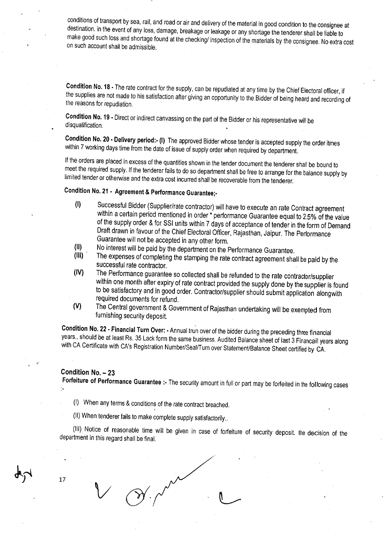conditions of transport by sea, rail, and road or air and delivery of the material in good condition to the consignee at destination. in the event of any loss, damage, breakage or leakage or any shortage the tenderer shall be liable to make good such loss and shortage found at the checking/ inspection of the materials by the consignee. No extra cost on such account shall be admissible.

Condition No. 18· The rate contract for the supply, can be repudiated at any time by the Chief Electoral officer, if the supplies are not made to his satisfaction after giving an opportunity to the Bidder of being heard and recording of the reasons for repudiation.

Condition No. 19 - Direct or indirect canvassing on the part of the Bidder or his representative will be disqualification.

Condition No. 20 • Delivery period: (I) The approved Bidder whose tender is accepted supply the order itmes within 7 working days time from the date of issue of supply order when required by department.

If the orders are placed in excess of the quantities shown in the tender document the tenderer shall be bound to meet the required supply. If the tenderer fails to do so department shall be free to arrange for the balance supply by limited tender or otherwise and the extra cost incurred shall be recoverable from the tenderer.

## Condition No. 21 • Agreement & Performance Guaranteej-

- (I) Successful Bidder (Supplier/rate contractor) will have to execute an rate Contract agreement within a certain period mentioned in order \* performance Guarantee equal to 2.5% of the value of the supply order & for SSI units within 7 days of acceptance of tender in the form of Demand Draft drawn in favour of the Chief Electoral Officer, Rajasthan, Jaipur. The Performance Guarantee will not be accepted in any other form.
- $\begin{array}{ll}\n\text{(II)} & \text{No interest will be paid by the department on the Performance Guarantee.}\n\text{(III)} & \text{The expenses of completion the scheme the rate centered generated by the current on the event generated.}\n\end{array}$
- The expenses of completing the stamping the rate contract agreement shall be paid by the successful rate contractor.
- (IV) The Performance guarantee so collected shall be refunded to the rate contractor/supplier within one month after expiry of rate contract provided the supply done by the supplier is found to be satisfactory and in good order. Contractor/supplier should submit application alongwith required documents for refund.
- (V) The Central government & Government of Rajasthan undertaking will be exempted from furnishing security deposit.

Condition No. 22 - Financial Turn Over: - Annual trun over of the bidder during the preceding three financial years., should be at least Rs. 35 Lack form the same business. Audited Balance sheet of last 3 Financail years along with CA Certificate with CA's Registration Number/Seal/Turn over Statement/Balance Sheet certified by CA.

#### Condition No. - 23

Forfeiture of Performance Guarantee :- The security amount in full or part may be forfeited in the following cases

- (I) When any terms & conditions of the rate contract breached. ,
- (II) When tenderer fails to make complete supply satisfactorily ..

(III) Notice of reasonable time will be given in case of forfeiture of security deposit. the decision of the department in this regard shall be final.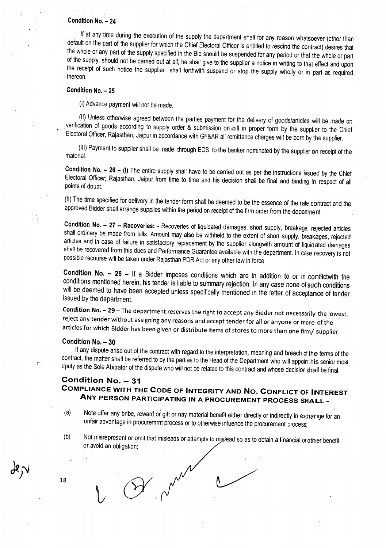### Condition No. - 24

If at any time during the execution of the supply the department shall for any reason whatsoever (other than default on the part of the supplier for which the Chief Electoral Officer is entitled to rescind the contract) desires that the whole or any part of the supply specified in the Bid should be suspended for any period or that the whole or part of the supply, should not be carried out at all, he shall give to the supplier a notice in writing to that effect and upon the receipt of such notice the supplier shall forthwith suspend or stop the supply wholly or in part as required thereon,

### Condition No. - 25

(I) Advance payment will not be made,

(II) Unless otherwise agreed between the parties payment for the delivery of goods/articles will be made on .verification of goods according to supply order & submission on -bill in proper form by the supplier to the Chief Electoral Officer, Rajasthan, Jaipur in accordance with GF&AR all remittance charges will be born by the supplier,

(III) Payment to supplier shall be made through ECS to the banker nominated by the supplier on receipt of the material.

Condition No.  $- 26 - (I)$  The entire supply shall have to be carried out as per the instructions issued by the Chief Electoral Officer; Rajasthan, Jaipur from time to time and his decision shall be final and binding in respect of all points of doubt.

(II) The time specfied for delivery in the tender form shall be deemed to be the essence of the rate contract and the approved Bidder shall arrange supplies within the period on receipt of the firm order from the department.

Condition No. - 27 - Recoveries: - Recoveries of liquidated damages, short supply, breakage, rejected articles shall ordinary be made from bills. Amount may also be withheld to the extent of short supply, breakages, rejected articles and in case of failure in satisfactory replacement by the supplier alongwith amount of liquidated damages shall be recovered from this dues and Performance Guarantee available with the department. In case recovery is not possible recourse will be taken under Rajasthan PDR Act or any other law in force,

Condition No.  $-$  28 - If a Bidder imposes conditions which are in addition to or in conflictwith the conditions mentioned herein, his tender is liable to summary rejection, In any case none of such conditions will be deemed to have been accepted unless specifically mentioned in the letter of acceptance of tender issued by the department.

Condition No. - 29 - The department reserves the right to accept any Bidder not necessarily the lowest, reject any tender without assigning any reasons and accept tender for all or anyone or more of the articles for which Bidder has been given or distribute items of stores to more than one firm/ supplier,

#### Condition No. - 30

If any dispute arise out of the contract with regard to the interpretation, meaning and breach of the terms of the contract, the matter shall be referred to by the parties to the Head of the Department who will appoint his senior most dputy as the Sole Abitrator of the dispute who will not be related to this contract and whose decision shall be final.

### Condition No. - 31 COMPLIANCE WITH THE CODE OF INTEGRITY AND No. CONFLICT OF INTEREST ANY PERSON PARTICIPATING IN A PROCUREMENT PROCESS SHALL -

- (a) Note offer any bribe, reward or gift or nay material benefit either directly or indirectly in exchange for an unfair advantage in procuremrnt process or to otherwise infuence the procurement process;
- (b) Not misrepresent or omit that misleads or attampts to mislead so as to obtain a financial or other benefit or avoid an obligation;

,...

 $18$  (9/ $M^{\mu\nu}$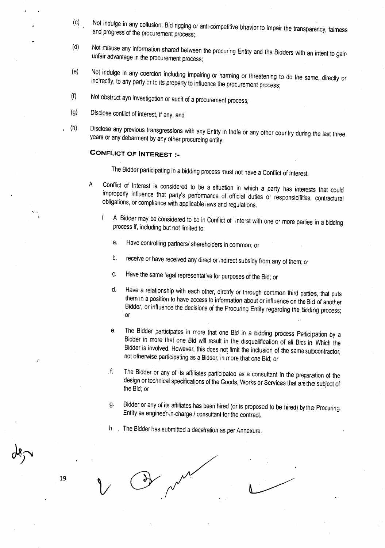- (c) Not indulge in any collusion, Bid rigging or anti-competitive bhavior to impair the transparency, fairness and progress of the procurement process;.
- (d) Not misuse any information shared between the procuring Entity and the Bidders with an intent to gain unfair advantage in the procurement process;
- (e) Not indulge in any coercion including impairing or harming or threatening to do the same, directly or indirectly, to any party or to its property to influence the procurement process;
- (f) Not obstruct ayn investigation or audit of a procurement process;
- (g) Disclose conflict of interest, if any; and
- (h) Disclose any previous transgressions with any Entity in Indra or any other country during the last three years or any debarment by any other procureing entity.

#### **CONFLICT OF INTEREST :\_**

" .

19

The Bidder participating in a bidding process must not have a Conflict of Interest.

- A Conflict of Interest is considered to be a situation in which a party has interests that could improperly influence that party's performance of *official* duties or responsibilities; contractural obligations, or compliance with applicable laws and regulations.
	- A Bidder may be considered to be in Conflict of Interst with one or more parties in a bidding Ť process if, including but not limited to:
		- a. Have controlling partners/ shareholders in common; or
		- b. receive or have received any direct orindirect subsidy from any of them; or
		- G. Have the same legal representative for purposes of the Bid; or
		- d. Have a relationship with each other, dirctrly or through common third parties, that puts them in a position to have access to information about or influence on the Bid of another Bidder, or influence the decisions of the Procuring Entity regarding the bidding process; or
		- e. The Bidder participates in more that one Bid in a bidding process Participation by a Bidder in more that one Bid will result in the disqualification of all Bids in Which the Bidder is involved. However, this does not limit the inclusion of the same subcontractor, not otherwise participating as a Bidder, in more that one Bid; or
		- f. The Bidder or any of its *affiliates* participated as a consultant in the preparation of the design or technical specifications of the Goods, Works or Services that arethe subject of the Bid; or
		- g. Bidder or any of its *affiliates* has been hired (or is proposed to be hired) bythe Procuring, Entity as engineer-in-charge / consultant for the contract.
		- h. The Bidder has submitted a decalration as per Annexure.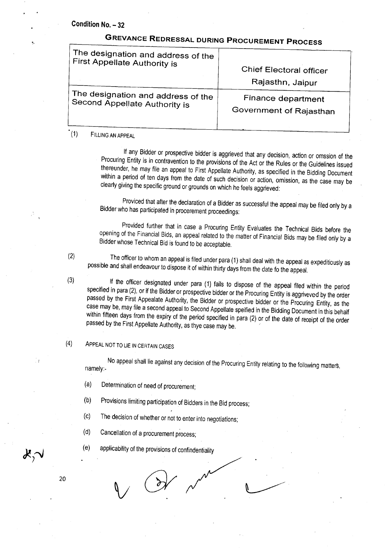# **GREVANCE REDRESSAL DURING PROCUREMENT PROCESS**

| The designation and address of the | Chief Electoral officer |
|------------------------------------|-------------------------|
| First Appellate Authority is       | Rajasthn, Jaipur        |
| The designation and address of the | Finance department      |
| Second Appellate Authority is      | Government of Rajasthan |

#### (1) FILLING AN APPEAL

If any Bidder or prospective bidder is aggrieved that any decision, action or omssion of the Procuring Entity is in contravention to the provisions of the Act or the Rules or the Guidelines issued thereunder, he may file an appeal to First Appellate Authority, as specified in the Bidding Document within a period of ten days from the date of such decision or action, omission, as the case may be clearly giving the specific ground or grounds on which he feels aggrieved:

Proviced that after the declaration of a Bidder as successful the appeal may be filed only by a Bidder who has participated in procerement proceedings:

Provided further that in case a Procuring Entity Evaluates the Technical Bids before the opening of the Financial Bids, an appeal related to the matter of Financial Bids may be filed only by a Bidder whose Technical Bid is found to be acceptable.

(2) The officer to whom an appeal is filed under para (1) shall deal with the appeal as expeditiously as possible and shall endeavour to dispose it of within thirty days from the date fo the appeal.

(3) If the officer designated under para (1) fails to dispose of the appeal filed within the period specified in para (2), or if the Bidder or prospective bidder or the Procuring Entity is aggriveved by the order passed by the First Appealate Authority, the Bidder or prospective bidder or the Procuring Entity, as the case may be, may file a second appeal to Second Appellate speified in the Bidding Document in this behalf within fifteen days from the expiry of the period specified in para (2) or of the date of receipt of the order passed by the First Appellate Authority, as thye case may be. '

### (4) ApPEAL NOT TO LIE IN CERTAINCASES

No appeal shall lie against any decision of the Procuring Entity relating to the following maiters, namely:-

(a) Determination of need of procurement;

(b) Provisions limiting participation of Bidders in the Bid process;

(c) The decision of whether or not to enter into negotiations;

F

*(d)* Cancellation of a procurement process;

(e) applicability of the provisions of confindentiality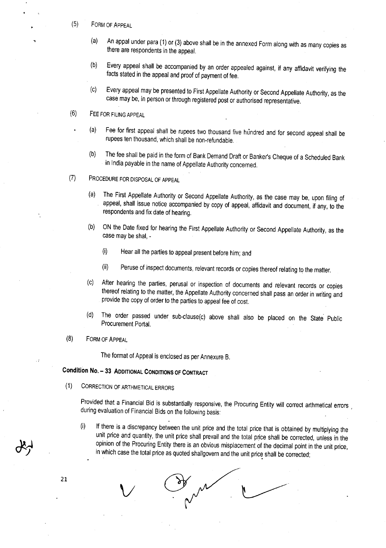- (5) FORM OF ApPEAL
	- (a) An appal under para (1) or (3) above shall be in the annexed Form along with as many copies as there are respondents in the appeal.
	- (b) Every appeal shall be accompanied by an order appealed against, if any affidavit verifying the facts stated in the appeal and proof of payment of fee.
	- (c) Every appeal may be presented to First Appellate Authority or Second Appellate Authority, as the case may be, in person or through registered post or authorised representative.
- (6) FEE FOR FILINGAPPEAL
	- (a) Fee for first appeal shall be rupees two thousand five hundred and for second appeal shall be rupees ten thousand, which shall be non-refundable.
		- (b) The fee shall be paid in the form of Bank Demand Draft or Banker's Cheque of a Scheduled Bank in India payable in the name of Appellate Authority concerned.
- (7) PROCEDUREFOR DISPOSALOFAPPEAL
	- (a) The First Appellate Authority or Second Appellate Authority, as the case may be, upon filing of appeal, shall issue notice accompanied by copy of appeal, affidavit and document, if any, to the respondents and fix date of hearing.
	- (b) ON the Date fixed for hearing the First Appellate Authority or Second Appellate Authority, as the case may be shal, -
		- (i) Hear all the parties to appeal present before him; and
		- (ii) Peruse of inspect documents, relevant records or copies thereof relating to the matter.
	- (c) After hearing the parties, perusal or inspection of documents and relevant records or copies thereof relating to the matter, the Appellate Authority concerned shall pass an order in writing and provide the copy of order to the parties to appeal fee of cost.
	- (d) The order passed under sub-clause(c) above shall also be placed on the State Public Procurement Portal.
- (8) FORM OF ApPEAL

The format of Appeal is enclosed as per Annexure B.

### Condition No. - 33 ADDITIONAL CONDITIONS OF CONTRACT

(1) CORRECTIONOF ARTHMETICALERRORS

 $\vee$ 

Provided that a Financial Bid is substantially responsive, the Procuring Entity will correct arthmetical errors during *evaluation* of Financial Bids on the following basis:

(i) If there is a discrepancy between the unit price and the total price that is obtained by multiplying the unit price and quantity, the unit price shall prevail and the total price shall be corrected, unless in the opinion of the Procuring Entity there is an obvious misplacement of the decimal point in the unit price, in which case the total price as quoted shallgovern and the unit price shall be corrected;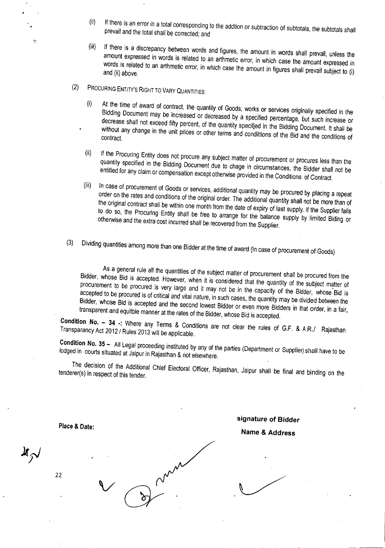- (ii) If there is an error in a total corresponding to the addtion or subtraction of subtotals, the subtotals shall prevail and the total shall be corrected; and
- (iii) If there is a discrepancy between words and figures, the amount in words shall prevail, unless the amount expressed in words is related to an arthmetic error, in which case the amount expressed in words is related to an arthmetic error, in which case the amount in figures shall prevail subject to (i) and (ii) above,
- (2) PROCURING ENTITY'S RIGHT TO VARY QUANTITIES
	- (i) At the time of award of contract, the quantity of Goods, works or services originally specified in the Bidding Document may be increased or decreased by a specified percentage, but such increase or decrease shall not exceed fifty percent, of the quantity specifjed in the Bidding Document. It shall be while any change in the unit prices or other terms and condittions of the Bid and the conditions of
	- If the Procuring Entity does not procure any subject matter of procurement or procures less than the  $(ii)$ quantity specified in the Bidding Document due to chage in Circumstances, the Bidder shall not be entitled for any claim or compensation except otherwise provided in the Conditions of Contract.
	- In case of procurement of Goods or services, additional quantity may be procured by placing a repeat  $(iii)$ order on the rates and conditions of the original order, The additional quantity shall not be more than of the original contract shall be within one month from the date of expiry of last supply, If the Supplier fails to do so, the Procuring Entity shall be free to arrange for the balance supply by limited Biding or otherwise and the extra cost incurred shall be recovered from the Supplier.
- $(3)$ (3) Dividing quantities among more than one Bidder at the time of award (In case of procurement of Goods)

As a general rule all the quantities of the subject matter of procurement shall be procured from the Bidder, whose Bid is accepted, However, when it is considered that the quantity of the subject matter of procurement to be procured is very large and it may not be in the capacity of the Bidder, whose Bid is accepted to be procured is of critical and vital nature, in such cases, the quantity may be divided between the Bidder, whose Bid is accepted and the second lowest Bidder or even more Bidders in that order, in a fair, transparent and equitble manner at the rates of the Bidder, whose Bid is accepted,

**Condition No. - 34 .:** Where any Terms & Conditions are not clear the rules of G,F, & *A.R.I* Rajasthan Transparancy Act 2012/ Rules 2013 will be applicable,

**Condition No. 35** - All Legal proceeding instituted by any of the parties (Department or Supplier) shall have to be lodged in courts situated at Jaipur in Rajasthan & not elsewhere,

The decision of the Additional Chief Electoral Officer, Rajasthan, Jaipur shall be final and binding on the tenderer(s) in respect of this tender,

**Place & Date:**

22

v

**signature of** *Bidder*

**Name & Address**

 $\frac{1}{2}$ 

"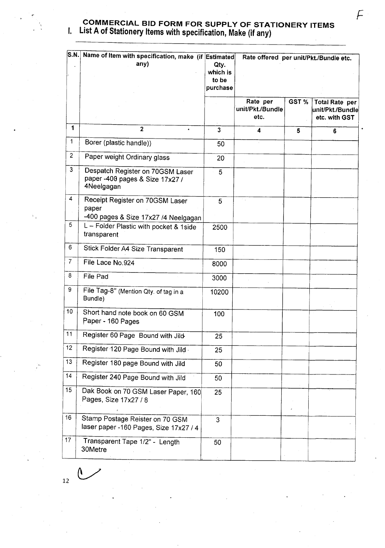$\frac{1}{2}$ 

### COMMERCIAL BID FORM FOR SUPPLY OF STATIONERY ITEMS I. List A of Stationery Items with specification, Make (if any)

| <b>S.N.</b>    | Name of Item with specification, make (if Estimated<br>any)                       | Qty.<br>which is<br>to be<br>purchase | Rate offered per unit/Pkt./Bundle etc. |       |                                                            |  |  |
|----------------|-----------------------------------------------------------------------------------|---------------------------------------|----------------------------------------|-------|------------------------------------------------------------|--|--|
|                |                                                                                   |                                       | Rate per<br>unit/Pkt./Bundle<br>etc.   | GST % | <b>Total Rate per</b><br>unit/Pkt./Bundle<br>etc. with GST |  |  |
| 1              | $\overline{2}$                                                                    | $\overline{3}$                        | 4                                      | 5     | 6                                                          |  |  |
| $\mathbf{1}$   | Borer (plastic handle))                                                           | 50                                    |                                        |       |                                                            |  |  |
| $\overline{2}$ | Paper weight Ordinary glass                                                       | 20                                    |                                        |       |                                                            |  |  |
| $\mathbf{3}$   | Despatch Register on 70GSM Laser<br>paper -400 pages & Size 17x27 /<br>4Neelgagan | 5                                     |                                        |       |                                                            |  |  |
| 4              | Receipt Register on 70GSM Laser<br>paper<br>-400 pages & Size 17x27 /4 Neelgagan  | 5                                     | ÷.,                                    |       |                                                            |  |  |
| 5              | L - Folder Plastic with pocket & 1side<br>transparent                             | 2500                                  |                                        |       |                                                            |  |  |
| 6              | Stick Folder A4 Size Transparent                                                  | 150                                   |                                        |       |                                                            |  |  |
| $\overline{7}$ | File Lace No.924                                                                  | 8000                                  |                                        |       |                                                            |  |  |
| 8              | File Pad                                                                          | 3000                                  |                                        |       |                                                            |  |  |
| 9              | File Tag-8" (Mention Qty. of tag in a<br>Bundle)                                  | 10200                                 |                                        |       |                                                            |  |  |
| 10             | Short hand note book on 60 GSM<br>Paper - 160 Pages                               | 100                                   |                                        |       |                                                            |  |  |
| 11             | Register 60 Page Bound with Jild-                                                 | 25                                    |                                        |       |                                                            |  |  |
| 12             | Register 120 Page Bound with Jild                                                 | 25                                    |                                        |       |                                                            |  |  |
| 13             | Register 180 page Bound with Jild                                                 | 50                                    |                                        |       |                                                            |  |  |
| 14             | Register 240 Page Bound with Jild                                                 | 50                                    |                                        |       |                                                            |  |  |
| 15             | Dak Book on 70 GSM Laser Paper, 160<br>Pages, Size 17x27 / 8                      | 25                                    |                                        |       |                                                            |  |  |
| 16             | Stamp Postage Reister on 70 GSM<br>laser paper -160 Pages, Size 17x27 / 4         | 3                                     |                                        |       |                                                            |  |  |
| 17             | Transparent Tape 1/2" - Length<br>30Metre                                         | 50                                    |                                        |       |                                                            |  |  |

 $\mathfrak{C}$ 12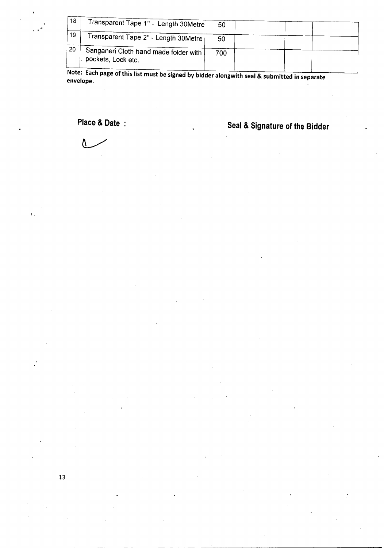| 18 | Transparent Tape 1" - Length 30Metre                        | 50  |  |  |
|----|-------------------------------------------------------------|-----|--|--|
| 19 | Transparent Tape 2" - Length 30Metre                        | 50  |  |  |
| 20 | Sanganeri Cloth hand made folder with<br>pockets, Lock etc. | 700 |  |  |
|    |                                                             |     |  |  |

**Note: Each page of this list must be signed by bidder alongwith seal & submitted in separate envelope.**

Λ

.<br>. .

**Place & Date Seal & Signature of the Bidder**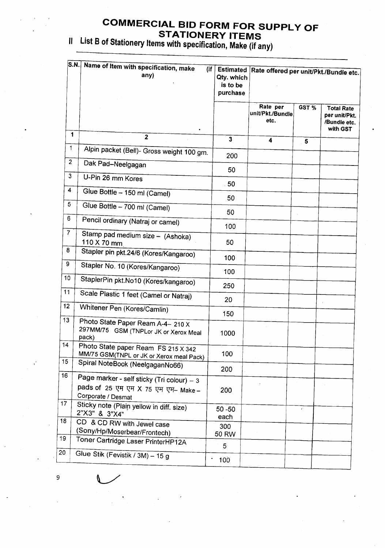### **COMMERCIAL BID FORM FOR SUPPLY OF STATIONERY ITEMS**

 $^{\prime\prime}$  List B of Stationery Items with specification, Make (if any)

|                | S.N.  Name of Item with specification, make<br>(if<br>any)                                             | <b>Estimated</b><br>Qty. which<br>is to be<br>purchase | Rate offered per unit/Pkt./Bundle etc. |                         |                                                                |  |
|----------------|--------------------------------------------------------------------------------------------------------|--------------------------------------------------------|----------------------------------------|-------------------------|----------------------------------------------------------------|--|
|                |                                                                                                        |                                                        | Rate per<br>unit/Pkt./Bundle<br>etc.   | GST %                   | <b>Total Rate</b><br>per unit/Pkt.<br>/Bundle etc.<br>with GST |  |
| 1              | $\overline{2}$                                                                                         | $\overline{\mathbf{3}}$                                | $\overline{\mathbf{4}}$                | $\overline{\mathbf{5}}$ |                                                                |  |
| $\mathbf{1}$   | Alpin packet (Bell)- Gross weight 100 gm.                                                              | 200                                                    |                                        |                         |                                                                |  |
| $\overline{2}$ | Dak Pad-Neelgagan                                                                                      | 50                                                     |                                        |                         |                                                                |  |
| 3              | U-Pin 26 mm Kores                                                                                      | 50                                                     |                                        |                         |                                                                |  |
| 4              | Glue Bottle - 150 ml (Camel)                                                                           | 50                                                     |                                        |                         |                                                                |  |
| 5              | Glue Bottle - 700 ml (Camel)                                                                           |                                                        |                                        |                         |                                                                |  |
| 6              | Pencil ordinary (Natraj or camel)                                                                      | 50                                                     |                                        |                         |                                                                |  |
| $\overline{7}$ | Stamp pad medium size - (Ashoka)<br>110 X 70 mm                                                        | 100<br>50                                              |                                        |                         |                                                                |  |
| 8              | Stapler pin pkt.24/6 (Kores/Kangaroo)                                                                  | 100                                                    |                                        |                         |                                                                |  |
| 9              | Stapler No. 10 (Kores/Kangaroo)                                                                        | 100                                                    |                                        |                         |                                                                |  |
| 10             | StaplerPin pkt.No10 (Kores/kangaroo)                                                                   | 250                                                    |                                        |                         |                                                                |  |
| 11             | Scale Plastic 1 feet (Camel or Natraj)                                                                 | 20                                                     |                                        |                         |                                                                |  |
| 12             | Whitener Pen (Kores/Camlin)                                                                            | 150                                                    |                                        |                         |                                                                |  |
| 13             | Photo State Paper Ream A-4- 210 X<br>297MM/75 GSM (TNPLor JK or Xerox Meal<br>pack)                    | 1000                                                   |                                        |                         |                                                                |  |
| 14             | Photo State paper Ream FS 215 X 342<br>MM/75 GSM(TNPL or JK or Xerox meal Pack)                        | 100                                                    |                                        |                         |                                                                |  |
| 15             | Spiral NoteBook (NeelgaganNo66)                                                                        | 200                                                    |                                        |                         |                                                                |  |
| 16             | Page marker - self sticky (Tri colour) - 3<br>pads of 25 एम एम X 75 एम एम- Make-<br>Corporate / Desmat | 200                                                    |                                        |                         |                                                                |  |
| 17             | Sticky note (Plain yellow in diff. size)<br>2"X3" & 3"X4"                                              | $50 - 50$<br>each                                      |                                        | $\pmb{e}$               |                                                                |  |
| 18             | CD & CD RW with Jewel case<br>(Sony/Hp/Moserbear/Frontech)                                             | 300<br>50 RW                                           |                                        |                         |                                                                |  |
| 19             | Toner Cartridge Laser PrinterHP12A                                                                     | 5                                                      |                                        |                         |                                                                |  |
| 20             | Glue Stik (Fevistik / 3M) - 15 g                                                                       | 100 <sub>o</sub>                                       |                                        |                         |                                                                |  |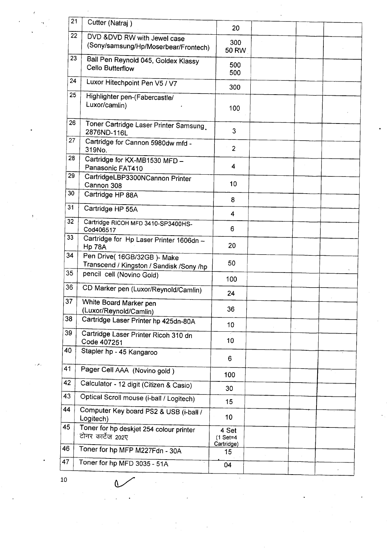| 21 | Cutter (Natraj)                                                          | 20                                |  |  |
|----|--------------------------------------------------------------------------|-----------------------------------|--|--|
| 22 | DVD &DVD RW with Jewel case                                              |                                   |  |  |
|    | (Sony/samsung/Hp/Moserbear/Frontech)                                     | 300<br><b>50 RW</b>               |  |  |
| 23 | Ball Pen Reynold 045, Goldex Klassy<br>Cello Butterflow                  | 500<br>500                        |  |  |
| 24 | Luxor Hitechpoint Pen V5 / V7                                            | 300                               |  |  |
| 25 | Highlighter pen-(Fabercastle/<br>Luxor/camlin)                           | 100                               |  |  |
| 26 | Toner Cartridge Laser Printer Samsung<br>2876ND-116L                     | 3                                 |  |  |
| 27 | Cartridge for Cannon 5980dw mfd -<br>319No.                              | $\overline{c}$                    |  |  |
| 28 | Cartridge for KX-MB1530 MFD -<br>Panasonic FAT410                        | 4                                 |  |  |
| 29 | CartridgeLBP3300NCannon Printer<br>Cannon 308                            | 10                                |  |  |
| 30 | Cartridge HP 88A                                                         | 8                                 |  |  |
| 31 | Cartridge HP 55A                                                         | 4                                 |  |  |
| 32 | Cartridge RICOH MFD 3410-SP3400HS-<br>Cod406517                          | 6                                 |  |  |
| 33 | Cartridge for Hp Laser Printer 1606dn -<br><b>Hp 78A</b>                 | 20                                |  |  |
| 34 | Pen Drive( 16GB/32GB )- Make<br>Transcend / Kingston / Sandisk /Sony /hp | 50                                |  |  |
| 35 | pencil cell (Novino Gold)                                                | 100                               |  |  |
| 36 | CD Marker pen (Luxor/Reynold/Camlin)                                     | 24                                |  |  |
| 37 | White Board Marker pen<br>(Luxor/Reynold/Camlin)                         | 36                                |  |  |
| 38 | Cartridge Laser Printer hp 425dn-80A                                     | 10                                |  |  |
| 39 | Cartridge Laser Printer Ricoh 310 dn<br>Code 407251                      | 10                                |  |  |
| 40 | Stapler hp - 45 Kangaroo                                                 | 6                                 |  |  |
| 41 | Pager Cell AAA (Novino gold)                                             | 100                               |  |  |
| 42 | Calculator - 12 digit (Citizen & Casio)                                  | 30                                |  |  |
| 43 | Optical Scroll mouse (i-ball / Logitech)                                 | 15                                |  |  |
| 44 | Computer Key board PS2 & USB (i-ball /<br>Logitech)                      | 10                                |  |  |
| 45 | Toner for hp deskjet 254 colour printer<br>टोनर कार्टेज 202ए             | 4 Set<br>$(1$ Set=4<br>Cartridge) |  |  |
| 46 | Toner for hp MFP M227Fdn - 30A                                           | 15                                |  |  |
| 47 | Toner for hp MFD 3035 - 51A                                              | 04                                |  |  |
|    |                                                                          |                                   |  |  |

, p\_